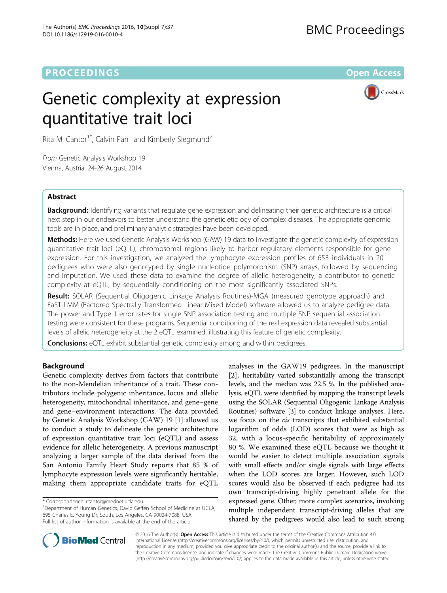## **PROCEEDINGS STATE ACCESS CONSUMING SECTION CONSUMING SECTION CONSUMING SECTION CONSUMING SECTION CONSUMING SECTION CONSUMING SECTION CONSUMING SECTION CONSUMING SECTION CONSUMING SECTION CONSUMING SECTION CONSUMING SE**

# Genetic complexity at expression quantitative trait loci



Rita M. Cantor<sup>1\*</sup>, Calvin Pan<sup>1</sup> and Kimberly Siegmund<sup>2</sup>

From Genetic Analysis Workshop 19 Vienna, Austria. 24-26 August 2014

## Abstract

Background: Identifying variants that regulate gene expression and delineating their genetic architecture is a critical next step in our endeavors to better understand the genetic etiology of complex diseases. The appropriate genomic tools are in place, and preliminary analytic strategies have been developed.

Methods: Here we used Genetic Analysis Workshop (GAW) 19 data to investigate the genetic complexity of expression quantitative trait loci (eQTL), chromosomal regions likely to harbor regulatory elements responsible for gene expression. For this investigation, we analyzed the lymphocyte expression profiles of 653 individuals in 20 pedigrees who were also genotyped by single nucleotide polymorphism (SNP) arrays, followed by sequencing and imputation. We used these data to examine the degree of allelic heterogeneity, a contributor to genetic complexity at eQTL, by sequentially conditioning on the most significantly associated SNPs.

Result: SOLAR (Sequential Oligogenic Linkage Analysis Routines)-MGA (measured genotype approach) and FaST-LMM (Factored Spectrally Transformed Linear Mixed Model) software allowed us to analyze pedigree data. The power and Type 1 error rates for single SNP association testing and multiple SNP sequential association testing were consistent for these programs. Sequential conditioning of the real expression data revealed substantial levels of allelic heterogeneity at the 2 eQTL examined, illustrating this feature of genetic complexity.

**Conclusions:** eQTL exhibit substantial genetic complexity among and within pedigrees.

## Background

Genetic complexity derives from factors that contribute to the non-Mendelian inheritance of a trait. These contributors include polygenic inheritance, locus and allelic heterogeneity, mitochondrial inheritance, and gene–gene and gene–environment interactions. The data provided by Genetic Analysis Workshop (GAW) 19 [\[1](#page-4-0)] allowed us to conduct a study to delineate the genetic architecture of expression quantitative trait loci (eQTL) and assess evidence for allelic heterogeneity. A previous manuscript analyzing a larger sample of the data derived from the San Antonio Family Heart Study reports that 85 % of lymphocyte expression levels were significantly heritable, making them appropriate candidate traits for eQTL

<sup>1</sup>Department of Human Genetics, David Geffen School of Medicine at UCLA, 695 Charles E. Young Dr, South, Los Angeles, CA 90024-7088, USA Full list of author information is available at the end of the article

analyses in the GAW19 pedigrees. In the manuscript [[2](#page-4-0)], heritability varied substantially among the transcript levels, and the median was 22.5 %. In the published analysis, eQTL were identified by mapping the transcript levels using the SOLAR (Sequential Oligogenic Linkage Analysis Routines) software [[3](#page-4-0)] to conduct linkage analyses. Here, we focus on the cis transcripts that exhibited substantial logarithm of odds (LOD) scores that were as high as 32, with a locus-specific heritability of approximately 80 %. We examined these eQTL because we thought it would be easier to detect multiple association signals with small effects and/or single signals with large effects when the LOD scores are larger. However, such LOD scores would also be observed if each pedigree had its own transcript-driving highly penetrant allele for the expressed gene. Other, more complex scenarios, involving multiple independent transcript-driving alleles that are shared by the pedigrees would also lead to such strong



© 2016 The Author(s). Open Access This article is distributed under the terms of the Creative Commons Attribution 4.0 International License [\(http://creativecommons.org/licenses/by/4.0/](http://creativecommons.org/licenses/by/4.0/)), which permits unrestricted use, distribution, and reproduction in any medium, provided you give appropriate credit to the original author(s) and the source, provide a link to the Creative Commons license, and indicate if changes were made. The Creative Commons Public Domain Dedication waiver [\(http://creativecommons.org/publicdomain/zero/1.0/](http://creativecommons.org/publicdomain/zero/1.0/)) applies to the data made available in this article, unless otherwise stated.

<sup>\*</sup> Correspondence: [rcantor@mednet.ucla.edu](mailto:rcantor@mednet.ucla.edu) <sup>1</sup>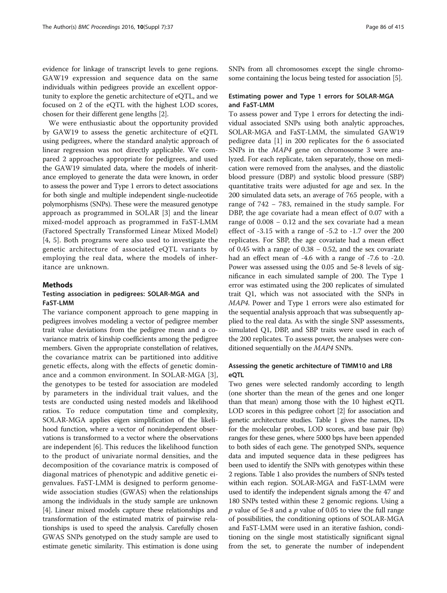evidence for linkage of transcript levels to gene regions. GAW19 expression and sequence data on the same individuals within pedigrees provide an excellent opportunity to explore the genetic architecture of eQTL, and we focused on 2 of the eQTL with the highest LOD scores, chosen for their different gene lengths [[2](#page-4-0)].

We were enthusiastic about the opportunity provided by GAW19 to assess the genetic architecture of eQTL using pedigrees, where the standard analytic approach of linear regression was not directly applicable. We compared 2 approaches appropriate for pedigrees, and used the GAW19 simulated data, where the models of inheritance employed to generate the data were known, in order to assess the power and Type 1 errors to detect associations for both single and multiple independent single-nucleotide polymorphisms (SNPs). These were the measured genotype approach as programmed in SOLAR [\[3](#page-4-0)] and the linear mixed-model approach as programmed in FaST-LMM (Factored Spectrally Transformed Linear Mixed Model) [[4, 5\]](#page-4-0). Both programs were also used to investigate the genetic architecture of associated eQTL variants by employing the real data, where the models of inheritance are unknown.

#### Methods

## Testing association in pedigrees: SOLAR-MGA and FaST-LMM

The variance component approach to gene mapping in pedigrees involves modeling a vector of pedigree member trait value deviations from the pedigree mean and a covariance matrix of kinship coefficients among the pedigree members. Given the appropriate constellation of relatives, the covariance matrix can be partitioned into additive genetic effects, along with the effects of genetic dominance and a common environment. In SOLAR-MGA [\[3](#page-4-0)], the genotypes to be tested for association are modeled by parameters in the individual trait values, and the tests are conducted using nested models and likelihood ratios. To reduce computation time and complexity, SOLAR-MGA applies eigen simplification of the likelihood function, where a vector of nonindependent observations is transformed to a vector where the observations are independent [\[6\]](#page-4-0). This reduces the likelihood function to the product of univariate normal densities, and the decomposition of the covariance matrix is composed of diagonal matrices of phenotypic and additive genetic eigenvalues. FaST-LMM is designed to perform genomewide association studies (GWAS) when the relationships among the individuals in the study sample are unknown [[4\]](#page-4-0). Linear mixed models capture these relationships and transformation of the estimated matrix of pairwise relationships is used to speed the analysis. Carefully chosen GWAS SNPs genotyped on the study sample are used to estimate genetic similarity. This estimation is done using SNPs from all chromosomes except the single chromosome containing the locus being tested for association [\[5](#page-4-0)].

### Estimating power and Type 1 errors for SOLAR-MGA and FaST-LMM

To assess power and Type 1 errors for detecting the individual associated SNPs using both analytic approaches, SOLAR-MGA and FaST-LMM, the simulated GAW19 pedigree data [[1](#page-4-0)] in 200 replicates for the 6 associated SNPs in the MAP4 gene on chromosome 3 were analyzed. For each replicate, taken separately, those on medication were removed from the analyses, and the diastolic blood pressure (DBP) and systolic blood pressure (SBP) quantitative traits were adjusted for age and sex. In the 200 simulated data sets, an average of 765 people, with a range of 742 − 783, remained in the study sample. For DBP, the age covariate had a mean effect of 0.07 with a range of 0.008 − 0.12 and the sex covariate had a mean effect of -3.15 with a range of -5.2 to -1.7 over the 200 replicates. For SBP, the age covariate had a mean effect of 0.45 with a range of 0.38 − 0.52, and the sex covariate had an effect mean of -4.6 with a range of -7.6 to -2.0. Power was assessed using the 0.05 and 5e-8 levels of significance in each simulated sample of 200. The Type 1 error was estimated using the 200 replicates of simulated trait Q1, which was not associated with the SNPs in MAP4. Power and Type 1 errors were also estimated for the sequential analysis approach that was subsequently applied to the real data. As with the single SNP assessments, simulated Q1, DBP, and SBP traits were used in each of the 200 replicates. To assess power, the analyses were conditioned sequentially on the MAP4 SNPs.

## Assessing the genetic architecture of TIMM10 and LR8 eQTL

Two genes were selected randomly according to length (one shorter than the mean of the genes and one longer than that mean) among those with the 10 highest eQTL LOD scores in this pedigree cohort [\[2](#page-4-0)] for association and genetic architecture studies. Table [1](#page-2-0) gives the names, IDs for the molecular probes, LOD scores, and base pair (bp) ranges for these genes, where 5000 bps have been appended to both sides of each gene. The genotyped SNPs, sequence data and imputed sequence data in these pedigrees has been used to identify the SNPs with genotypes within these 2 regions. Table [1](#page-2-0) also provides the numbers of SNPs tested within each region. SOLAR-MGA and FaST-LMM were used to identify the independent signals among the 47 and 180 SNPs tested within these 2 genomic regions. Using a  $p$  value of 5e-8 and a  $p$  value of 0.05 to view the full range of possibilities, the conditioning options of SOLAR-MGA and FaST-LMM were used in an iterative fashion, conditioning on the single most statistically significant signal from the set, to generate the number of independent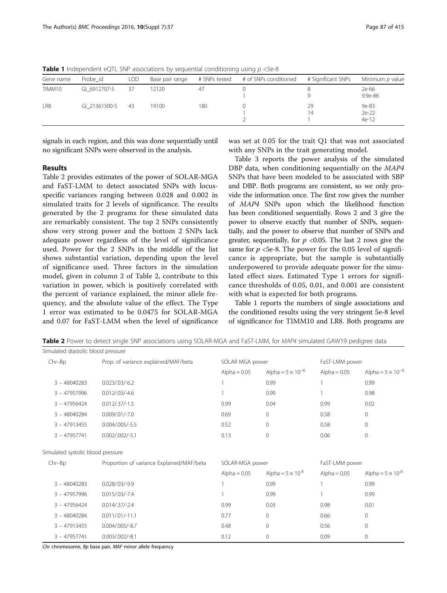| Gene name | Probe id      | <b>LOD</b> | Base pair range |     | # SNPs tested # of SNPs conditioned | # Significant SNPs | Minimum p value           |
|-----------|---------------|------------|-----------------|-----|-------------------------------------|--------------------|---------------------------|
| TIMM10    | GI 6912707-S  | 37         | 12120           | 47  |                                     |                    | 2e-66<br>$9.9e - 86$      |
| LR8       | GI 21361500-S | -43        | 19100           | 180 |                                     | 29<br>14           | 9e-83<br>2e-22<br>$4e-12$ |

<span id="page-2-0"></span>**Table 1** Independent eQTL SNP associations by sequential conditioning using  $p < 5e-8$ 

signals in each region, and this was done sequentially until no significant SNPs were observed in the analysis.

## Results

Table 2 provides estimates of the power of SOLAR-MGA and FaST-LMM to detect associated SNPs with locusspecific variances ranging between 0.028 and 0.002 in simulated traits for 2 levels of significance. The results generated by the 2 programs for these simulated data are remarkably consistent. The top 2 SNPs consistently show very strong power and the bottom 2 SNPs lack adequate power regardless of the level of significance used. Power for the 2 SNPs in the middle of the list shows substantial variation, depending upon the level of significance used. Three factors in the simulation model, given in column 2 of Table 2, contribute to this variation in power, which is positively correlated with the percent of variance explained, the minor allele frequency, and the absolute value of the effect. The Type 1 error was estimated to be 0.0475 for SOLAR-MGA and 0.07 for FaST-LMM when the level of significance

was set at 0.05 for the trait Q1 that was not associated with any SNPs in the trait generating model.

Table [3](#page-3-0) reports the power analysis of the simulated DBP data, when conditioning sequentially on the MAP4 SNPs that have been modeled to be associated with SBP and DBP. Both programs are consistent, so we only provide the information once. The first row gives the number of MAP4 SNPs upon which the likelihood function has been conditioned sequentially. Rows 2 and 3 give the power to observe exactly that number of SNPs, sequentially, and the power to observe that number of SNPs and greater, sequentially, for  $p \le 0.05$ . The last 2 rows give the same for  $p < 5e-8$ . The power for the 0.05 level of significance is appropriate, but the sample is substantially underpowered to provide adequate power for the simulated effect sizes. Estimated Type 1 errors for significance thresholds of 0.05, 0.01, and 0.001 are consistent with what is expected for both programs.

Table 1 reports the numbers of single associations and the conditioned results using the very stringent 5e-8 level of significance for TIMM10 and LR8. Both programs are

| Simulated diastolic blood pressure |                                           |                 |                            |                |                            |
|------------------------------------|-------------------------------------------|-----------------|----------------------------|----------------|----------------------------|
| $Chr-Bp$                           | Prop. of variance explained/MAF/beta      | SOLAR MGA power |                            | FaST-LMM power |                            |
|                                    |                                           | Alpha = $0.05$  | Alpha = $5 \times 10^{-8}$ | Alpha = $0.05$ | Alpha = $5 \times 10^{-8}$ |
| $3 - 48040283$                     | $0.023/03/-6.2$                           |                 | 0.99                       |                | 0.99                       |
| $3 - 47957996$                     | $0.012/.03/-4.6$                          |                 | 0.99                       |                | 0.98                       |
| $3 - 47956424$                     | $0.012/.37/-1.5$                          | 0.99            | 0.04                       | 0.99           | 0.02                       |
| $3 - 48040284$                     | $0.009/.01/-7.0$                          | 0.69            | $\mathbf 0$                | 0.58           | $\mathbf{0}$               |
| $3 - 47913455$                     | $0.004 / 0.005 / -5.5$                    | 0.52            | $\mathbf{0}$               | 0.58           | $\circ$                    |
| $3 - 47957741$                     | $0.002/.002/-5.1$                         | 0.13            | $\mathbf 0$                | 0.06           | $\mathbf{0}$               |
| Simulated systolic blood pressure  |                                           |                 |                            |                |                            |
| $Chr-Bp$                           | Proportion of variance Explained/MAF/beta | SOLAR-MGA power |                            | FaST-LMM power |                            |
|                                    |                                           | Alpha = $0.05$  | Alpha = $5 \times 10^{-8}$ | Alpha = $0.05$ | Alpha = $5 \times 10^{-8}$ |
| $3 - 48040283$                     | $0.028/03/-9.9$                           |                 | 0.99                       |                | 0.99                       |
| $3 - 47957996$                     | $0.015/03/-7.4$                           |                 | 0.99                       |                | 0.99                       |
| $3 - 47956424$                     | $0.014/0.37/-2.4$                         | 0.99            | 0.03                       | 0.98           | 0.01                       |
| $3 - 48040284$                     | $0.011/.01/-11.1$                         | 0.77            | $\mathbf 0$                | 0.66           | $\circ$                    |
| $3 - 47913455$                     | $0.004 / 005 / -8.7$                      | 0.48            | $\mathbf 0$                | 0.56           | $\mathbf{0}$               |
| $3 - 47957741$                     | $0.003/.002/-8.1$                         | 0.12            | $\mathbf 0$                | 0.09           | $\circ$                    |

Table 2 Power to detect single SNP associations using SOLAR-MGA and FaST-LMM, for MAP4 simulated GAW19 pedigree data

Chr chromosome, Bp base pair, MAF minor allele frequency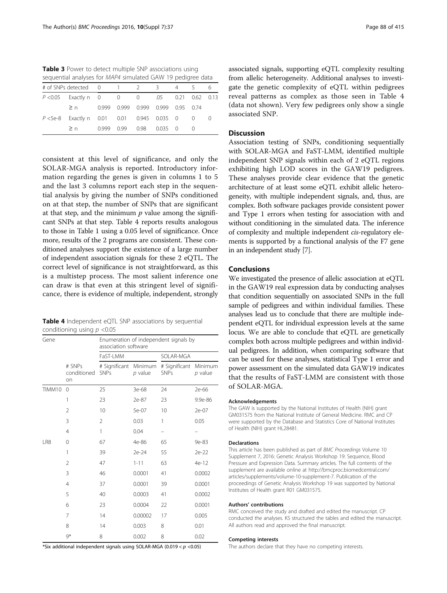<span id="page-3-0"></span>Table 3 Power to detect multiple SNP associations using sequential analyses for MAP4 simulated GAW 19 pedigree data

| $\geq n$ 0.999 0.99 0.98 0.035 0 |                                                                                                                                                                                |
|----------------------------------|--------------------------------------------------------------------------------------------------------------------------------------------------------------------------------|
|                                  | # of SNPs detected 0 1 2 3 4 5<br>P < 0.05 Exactly n 0 0 0 0 .05 0.21 0.62 0.13<br>$\geq$ n 0.999 0.999 0.999 0.999 0.95 0.74<br>P <5e-8 Exactly n 0.01 0.01 0.945 0.035 0 0 0 |

consistent at this level of significance, and only the SOLAR-MGA analysis is reported. Introductory information regarding the genes is given in columns 1 to 5 and the last 3 columns report each step in the sequential analysis by giving the number of SNPs conditioned on at that step, the number of SNPs that are significant at that step, and the minimum  $p$  value among the significant SNPs at that step. Table 4 reports results analogous to those in Table [1](#page-2-0) using a 0.05 level of significance. Once more, results of the 2 programs are consistent. These conditioned analyses support the existence of a large number of independent association signals for these 2 eQTL. The correct level of significance is not straightforward, as this is a multistep process. The most salient inference one can draw is that even at this stringent level of significance, there is evidence of multiple, independent, strongly

Table 4 Independent eQTL SNP associations by sequential conditioning using  $p < 0.05$ 

| Gene   |                             | Enumeration of independent signals by<br>association software |           |                                      |         |  |  |
|--------|-----------------------------|---------------------------------------------------------------|-----------|--------------------------------------|---------|--|--|
|        |                             | FaST-LMM                                                      |           | SOLAR-MGA                            |         |  |  |
|        | # SNPs<br>conditioned<br>on | # Significant Minimum<br><b>SNPs</b>                          | $p$ value | # Significant Minimum<br><b>SNPs</b> | p value |  |  |
| TIMM10 | $\Omega$                    | 25                                                            | 3e-68     | 24                                   | 2e-66   |  |  |
|        | 1                           | 23                                                            | 2e-87     | 23                                   | 9.9e-86 |  |  |
|        | $\overline{2}$              | 10                                                            | 5e-07     | 10                                   | 2e-07   |  |  |
|        | 3                           | $\overline{2}$                                                | 0.03      | 1                                    | 0.05    |  |  |
|        | 4                           | 1                                                             | 0.04      |                                      |         |  |  |
| LR8    | 0                           | 67                                                            | 4e-86     | 65                                   | 9e-83   |  |  |
|        | 1                           | 39                                                            | 2e-24     | 55                                   | 2e-22   |  |  |
|        | $\overline{2}$              | 47                                                            | $1 - 11$  | 63                                   | 4e-12   |  |  |
|        | 3                           | 46                                                            | 0.0001    | 41                                   | 0.0002  |  |  |
|        | 4                           | 37                                                            | 0.0001    | 39                                   | 0.0001  |  |  |
|        | 5                           | 40                                                            | 0.0003    | 41                                   | 0.0002  |  |  |
|        | 6                           | 23                                                            | 0.0004    | 22                                   | 0.0001  |  |  |
|        | 7                           | 14                                                            | 0.00002   | 17                                   | 0.005   |  |  |
|        | 8                           | 14                                                            | 0.003     | 8                                    | 0.01    |  |  |
|        | $9*$                        | 8                                                             | 0.002     | 8                                    | 0.02    |  |  |

\*Six additional independent signals using SOLAR-MGA (0.019  $< p <$ 0.05)

associated signals, supporting eQTL complexity resulting from allelic heterogeneity. Additional analyses to investigate the genetic complexity of eQTL within pedigrees reveal patterns as complex as those seen in Table 4 (data not shown). Very few pedigrees only show a single associated SNP.

### Discussion

Association testing of SNPs, conditioning sequentially with SOLAR-MGA and FaST-LMM, identified multiple independent SNP signals within each of 2 eQTL regions exhibiting high LOD scores in the GAW19 pedigrees. These analyses provide clear evidence that the genetic architecture of at least some eQTL exhibit allelic heterogeneity, with multiple independent signals, and, thus, are complex. Both software packages provide consistent power and Type 1 errors when testing for association with and without conditioning in the simulated data. The inference of complexity and multiple independent cis-regulatory elements is supported by a functional analysis of the F7 gene in an independent study [\[7\]](#page-4-0).

## Conclusions

We investigated the presence of allelic association at eQTL in the GAW19 real expression data by conducting analyses that condition sequentially on associated SNPs in the full sample of pedigrees and within individual families. These analyses lead us to conclude that there are multiple independent eQTL for individual expression levels at the same locus. We are able to conclude that eQTL are genetically complex both across multiple pedigrees and within individual pedigrees. In addition, when comparing software that can be used for these analyses, statistical Type 1 error and power assessment on the simulated data GAW19 indicates that the results of FaST-LMM are consistent with those of SOLAR-MGA.

#### Acknowledgements

The GAW is supported by the National Institutes of Health (NIH) grant GM031575 from the National Institute of General Medicine. RMC and CP were supported by the Database and Statistics Core of National Institutes of Health (NIH) grant HL28481.

#### Declarations

This article has been published as part of BMC Proceedings Volume 10 Supplement 7, 2016: Genetic Analysis Workshop 19: Sequence, Blood Pressure and Expression Data. Summary articles. The full contents of the supplement are available online at [http://bmcproc.biomedcentral.com/](http://bmcproc.biomedcentral.com/articles/supplements/volume-10-supplement-7) [articles/supplements/volume-10-supplement-7.](http://bmcproc.biomedcentral.com/articles/supplements/volume-10-supplement-7) Publication of the proceedings of Genetic Analysis Workshop 19 was supported by National Institutes of Health grant R01 GM031575.

#### Authors' contributions

RMC conceived the study and drafted and edited the manuscript. CP conducted the analyses. KS structured the tables and edited the manuscript. All authors read and approved the final manuscript.

#### Competing interests

The authors declare that they have no competing interests.